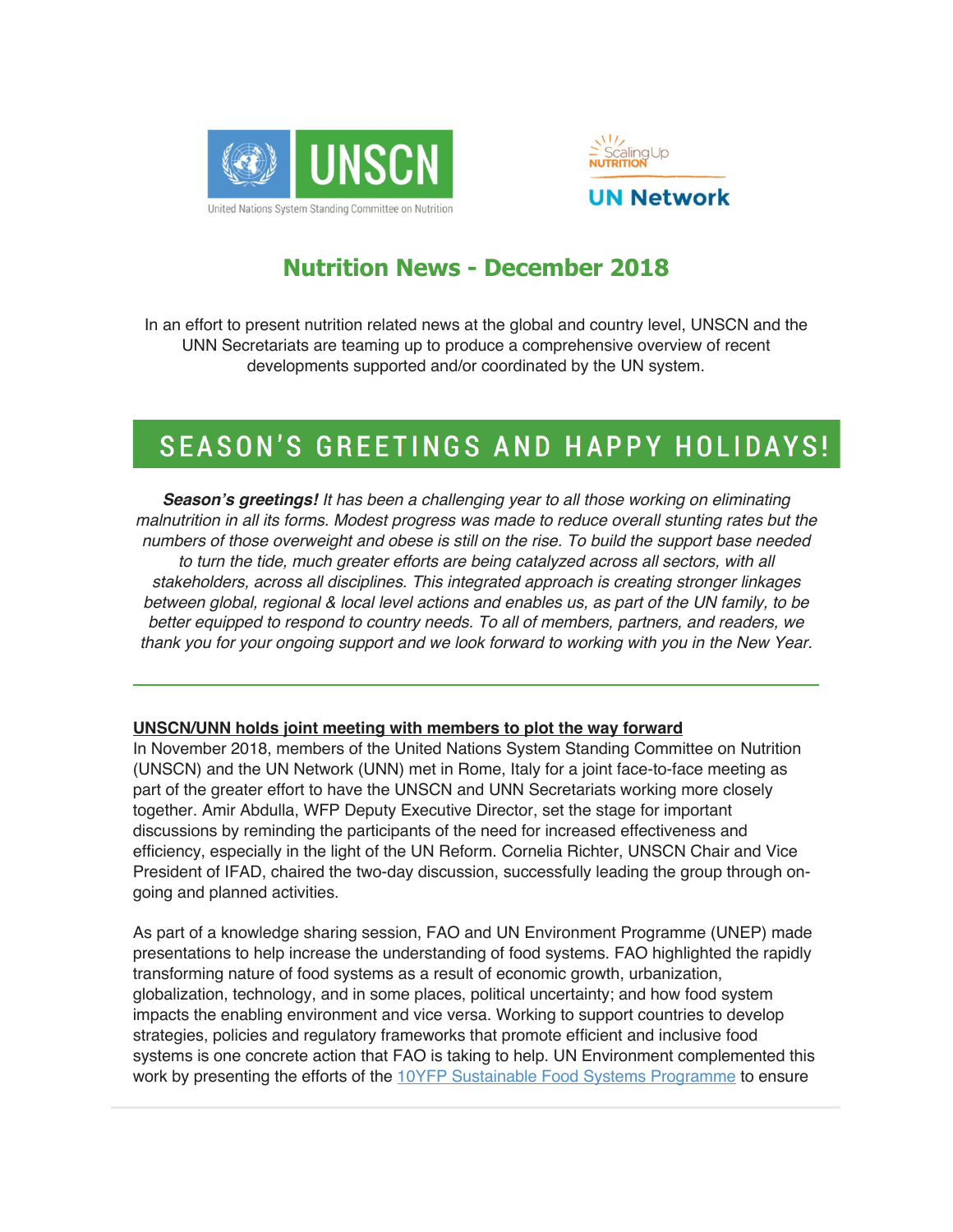



## **Nutrition News - December 2018**

In an effort to present nutrition related news at the global and country level, UNSCN and the UNN Secretariats are teaming up to produce a comprehensive overview of recent developments supported and/or coordinated by the UN system.

# SEASON'S GREETINGS AND HAPPY HOLIDAYS!

*Season's greetings! It has been a challenging year to all those working on eliminating malnutrition in all its forms. Modest progress was made to reduce overall stunting rates but the numbers of those overweight and obese is still on the rise. To build the support base needed*  to turn the tide, much greater efforts are being catalyzed across all sectors, with all *stakeholders, across all disciplines. This integrated approach is creating stronger linkages between global, regional & local level actions and enables us, as part of the UN family, to be better equipped to respond to country needs. To all of members, partners, and readers, we thank you for your ongoing support and we look forward to working with you in the New Year.*

#### **UNSCN/UNN holds joint meeting with members to plot the way forward**

In November 2018, members of the United Nations System Standing Committee on Nutrition (UNSCN) and the UN Network (UNN) met in Rome, Italy for a joint face-to-face meeting as part of the greater effort to have the UNSCN and UNN Secretariats working more closely together. Amir Abdulla, WFP Deputy Executive Director, set the stage for important discussions by reminding the participants of the need for increased effectiveness and efficiency, especially in the light of the UN Reform. Cornelia Richter, UNSCN Chair and Vice President of IFAD, chaired the two-day discussion, successfully leading the group through ongoing and planned activities.

As part of a knowledge sharing session, FAO and UN Environment Programme (UNEP) made presentations to help increase the understanding of food systems. FAO highlighted the rapidly transforming nature of food systems as a result of economic growth, urbanization, globalization, technology, and in some places, political uncertainty; and how food system impacts the enabling environment and vice versa. Working to support countries to develop strategies, policies and regulatory frameworks that promote efficient and inclusive food systems is one concrete action that FAO is taking to help. UN Environment complemented this work by presenting the efforts of the 10YFP Sustainable Food Systems Programme to ensure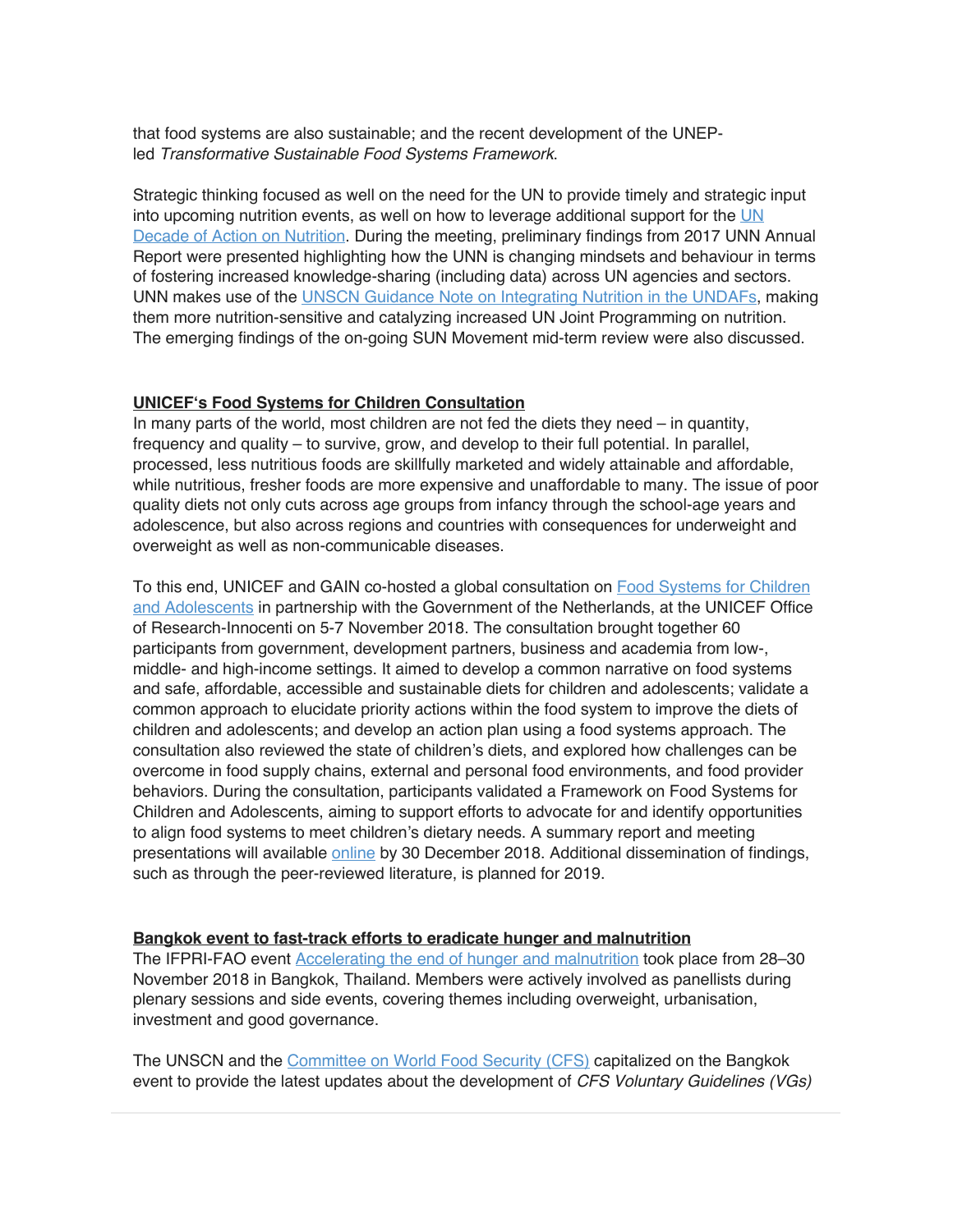that food systems are also sustainable; and the recent development of the UNEPled *Transformative Sustainable Food Systems Framework*.

Strategic thinking focused as well on the need for the UN to provide timely and strategic input into upcoming nutrition events, as well on how to leverage additional support for the UN Decade of Action on Nutrition. During the meeting, preliminary findings from 2017 UNN Annual Report were presented highlighting how the UNN is changing mindsets and behaviour in terms of fostering increased knowledge-sharing (including data) across UN agencies and sectors. UNN makes use of the UNSCN Guidance Note on Integrating Nutrition in the UNDAFs, making them more nutrition-sensitive and catalyzing increased UN Joint Programming on nutrition. The emerging findings of the on-going SUN Movement mid-term review were also discussed.

#### **UNICEF's Food Systems for Children Consultation**

In many parts of the world, most children are not fed the diets they need – in quantity, frequency and quality – to survive, grow, and develop to their full potential. In parallel, processed, less nutritious foods are skillfully marketed and widely attainable and affordable, while nutritious, fresher foods are more expensive and unaffordable to many. The issue of poor quality diets not only cuts across age groups from infancy through the school-age years and adolescence, but also across regions and countries with consequences for underweight and overweight as well as non-communicable diseases.

To this end, UNICEF and GAIN co-hosted a global consultation on Food Systems for Children and Adolescents in partnership with the Government of the Netherlands, at the UNICEF Office of Research-Innocenti on 5-7 November 2018. The consultation brought together 60 participants from government, development partners, business and academia from low-, middle- and high-income settings. It aimed to develop a common narrative on food systems and safe, affordable, accessible and sustainable diets for children and adolescents; validate a common approach to elucidate priority actions within the food system to improve the diets of children and adolescents; and develop an action plan using a food systems approach. The consultation also reviewed the state of children's diets, and explored how challenges can be overcome in food supply chains, external and personal food environments, and food provider behaviors. During the consultation, participants validated a Framework on Food Systems for Children and Adolescents, aiming to support efforts to advocate for and identify opportunities to align food systems to meet children's dietary needs. A summary report and meeting presentations will available online by 30 December 2018. Additional dissemination of findings, such as through the peer-reviewed literature, is planned for 2019.

#### **Bangkok event to fast-track efforts to eradicate hunger and malnutrition**

The IFPRI-FAO event Accelerating the end of hunger and malnutrition took place from 28–30 November 2018 in Bangkok, Thailand. Members were actively involved as panellists during plenary sessions and side events, covering themes including overweight, urbanisation, investment and good governance.

The UNSCN and the Committee on World Food Security (CFS) capitalized on the Bangkok event to provide the latest updates about the development of *CFS Voluntary Guidelines (VGs)*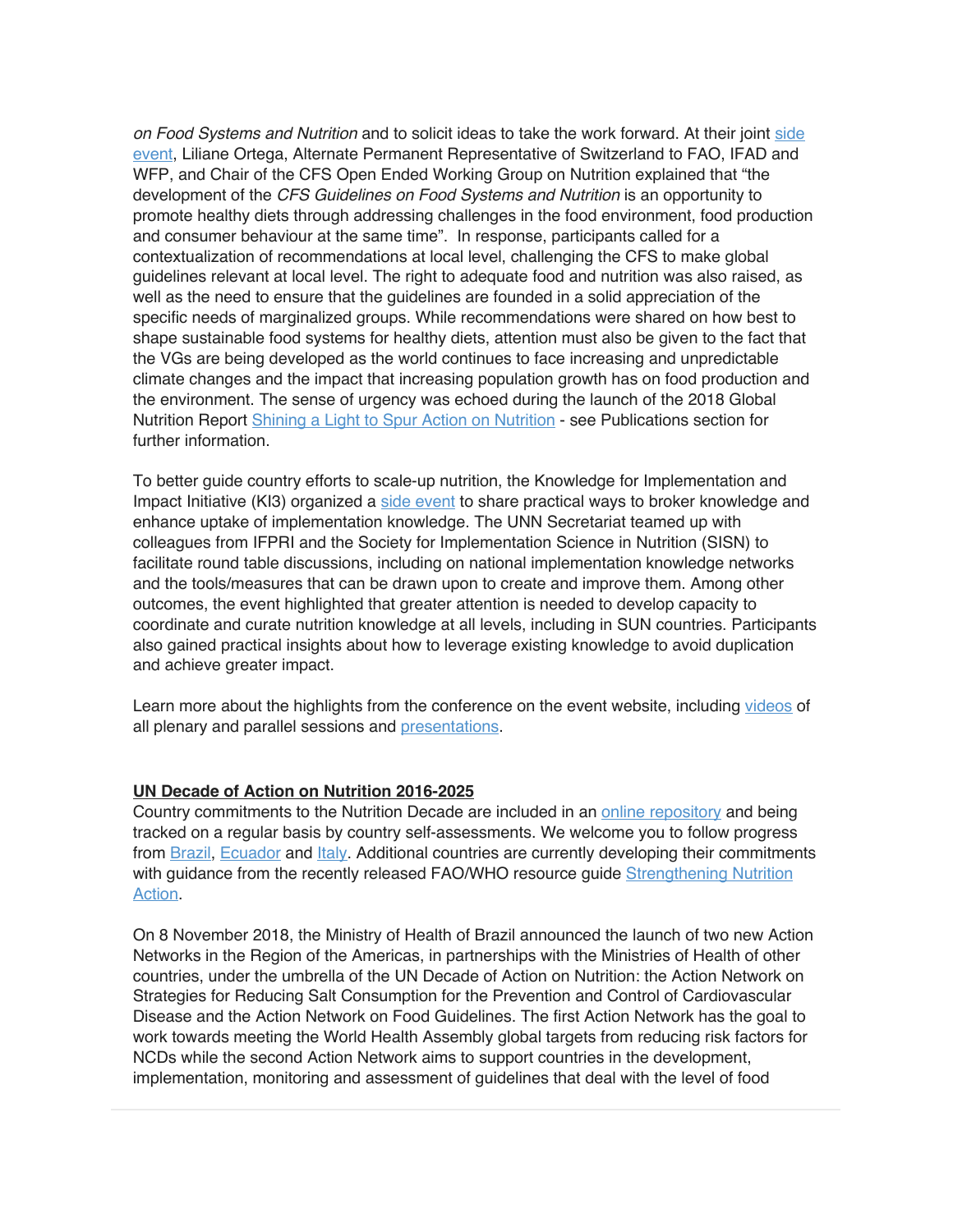*on Food Systems and Nutrition* and to solicit ideas to take the work forward. At their joint side event, Liliane Ortega, Alternate Permanent Representative of Switzerland to FAO, IFAD and WFP, and Chair of the CFS Open Ended Working Group on Nutrition explained that "the development of the *CFS Guidelines on Food Systems and Nutrition* is an opportunity to promote healthy diets through addressing challenges in the food environment, food production and consumer behaviour at the same time". In response, participants called for a contextualization of recommendations at local level, challenging the CFS to make global guidelines relevant at local level. The right to adequate food and nutrition was also raised, as well as the need to ensure that the guidelines are founded in a solid appreciation of the specific needs of marginalized groups. While recommendations were shared on how best to shape sustainable food systems for healthy diets, attention must also be given to the fact that the VGs are being developed as the world continues to face increasing and unpredictable climate changes and the impact that increasing population growth has on food production and the environment. The sense of urgency was echoed during the launch of the 2018 Global Nutrition Report Shining a Light to Spur Action on Nutrition - see Publications section for further information.

To better guide country efforts to scale-up nutrition, the Knowledge for Implementation and Impact Initiative (KI3) organized a side event to share practical ways to broker knowledge and enhance uptake of implementation knowledge. The UNN Secretariat teamed up with colleagues from IFPRI and the Society for Implementation Science in Nutrition (SISN) to facilitate round table discussions, including on national implementation knowledge networks and the tools/measures that can be drawn upon to create and improve them. Among other outcomes, the event highlighted that greater attention is needed to develop capacity to coordinate and curate nutrition knowledge at all levels, including in SUN countries. Participants also gained practical insights about how to leverage existing knowledge to avoid duplication and achieve greater impact.

Learn more about the highlights from the conference on the event website, including videos of all plenary and parallel sessions and presentations.

#### **UN Decade of Action on Nutrition 2016-2025**

Country commitments to the Nutrition Decade are included in an online repository and being tracked on a regular basis by country self-assessments. We welcome you to follow progress from Brazil, Ecuador and Italy. Additional countries are currently developing their commitments with guidance from the recently released FAO/WHO resource guide Strengthening Nutrition Action.

On 8 November 2018, the Ministry of Health of Brazil announced the launch of two new Action Networks in the Region of the Americas, in partnerships with the Ministries of Health of other countries, under the umbrella of the UN Decade of Action on Nutrition: the Action Network on Strategies for Reducing Salt Consumption for the Prevention and Control of Cardiovascular Disease and the Action Network on Food Guidelines. The first Action Network has the goal to work towards meeting the World Health Assembly global targets from reducing risk factors for NCDs while the second Action Network aims to support countries in the development, implementation, monitoring and assessment of guidelines that deal with the level of food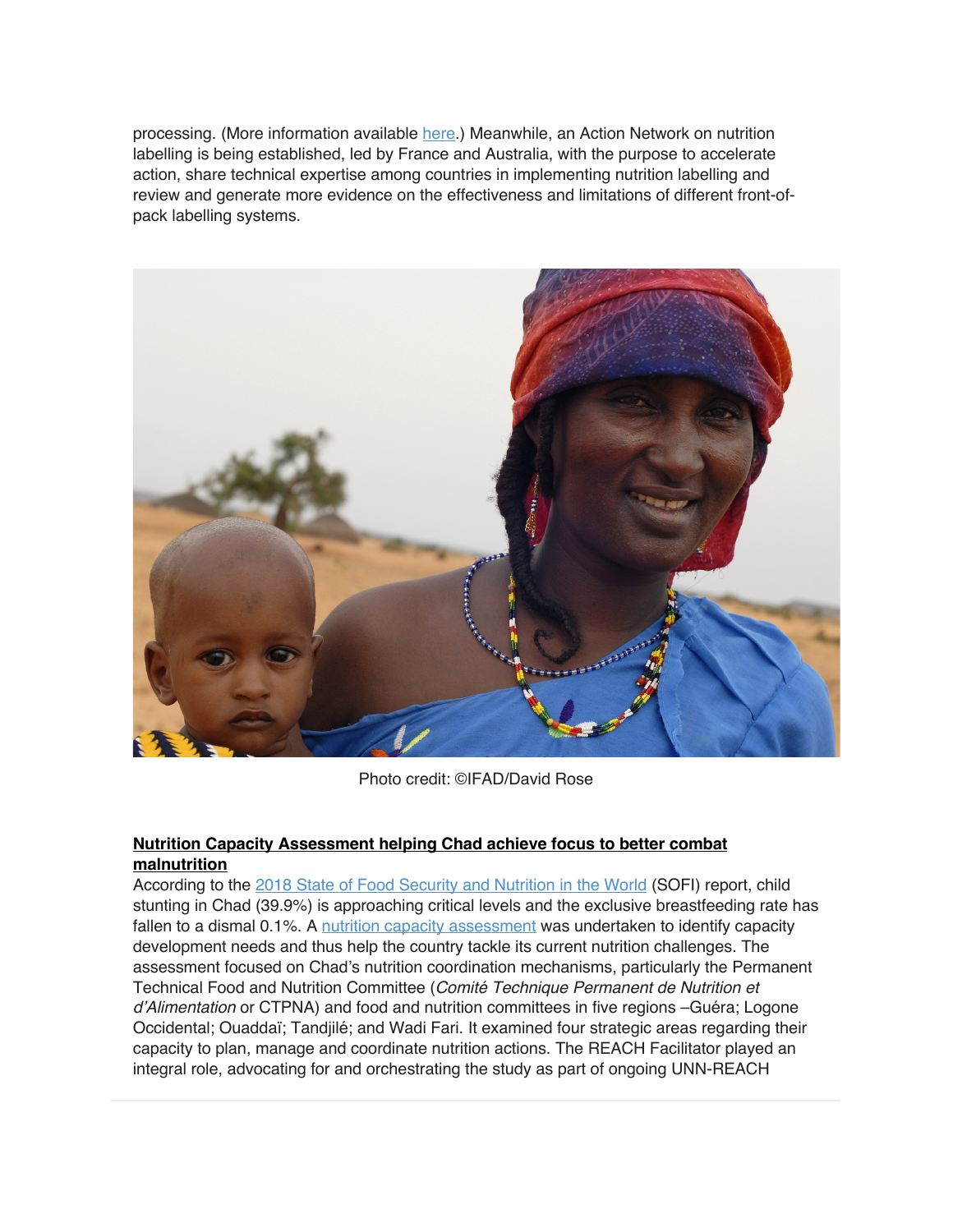processing. (More information available here.) Meanwhile, an Action Network on nutrition labelling is being established, led by France and Australia, with the purpose to accelerate action, share technical expertise among countries in implementing nutrition labelling and review and generate more evidence on the effectiveness and limitations of different front-ofpack labelling systems.



Photo credit: ©IFAD/David Rose

#### **Nutrition Capacity Assessment helping Chad achieve focus to better combat malnutrition**

According to the 2018 State of Food Security and Nutrition in the World (SOFI) report, child stunting in Chad (39.9%) is approaching critical levels and the exclusive breastfeeding rate has fallen to a dismal 0.1%. A nutrition capacity assessment was undertaken to identify capacity development needs and thus help the country tackle its current nutrition challenges. The assessment focused on Chad's nutrition coordination mechanisms, particularly the Permanent Technical Food and Nutrition Committee (*Comité Technique Permanent de Nutrition et d'Alimentation* or CTPNA) and food and nutrition committees in five regions –Guéra; Logone Occidental; Ouaddaï; Tandjilé; and Wadi Fari. It examined four strategic areas regarding their capacity to plan, manage and coordinate nutrition actions. The REACH Facilitator played an integral role, advocating for and orchestrating the study as part of ongoing UNN-REACH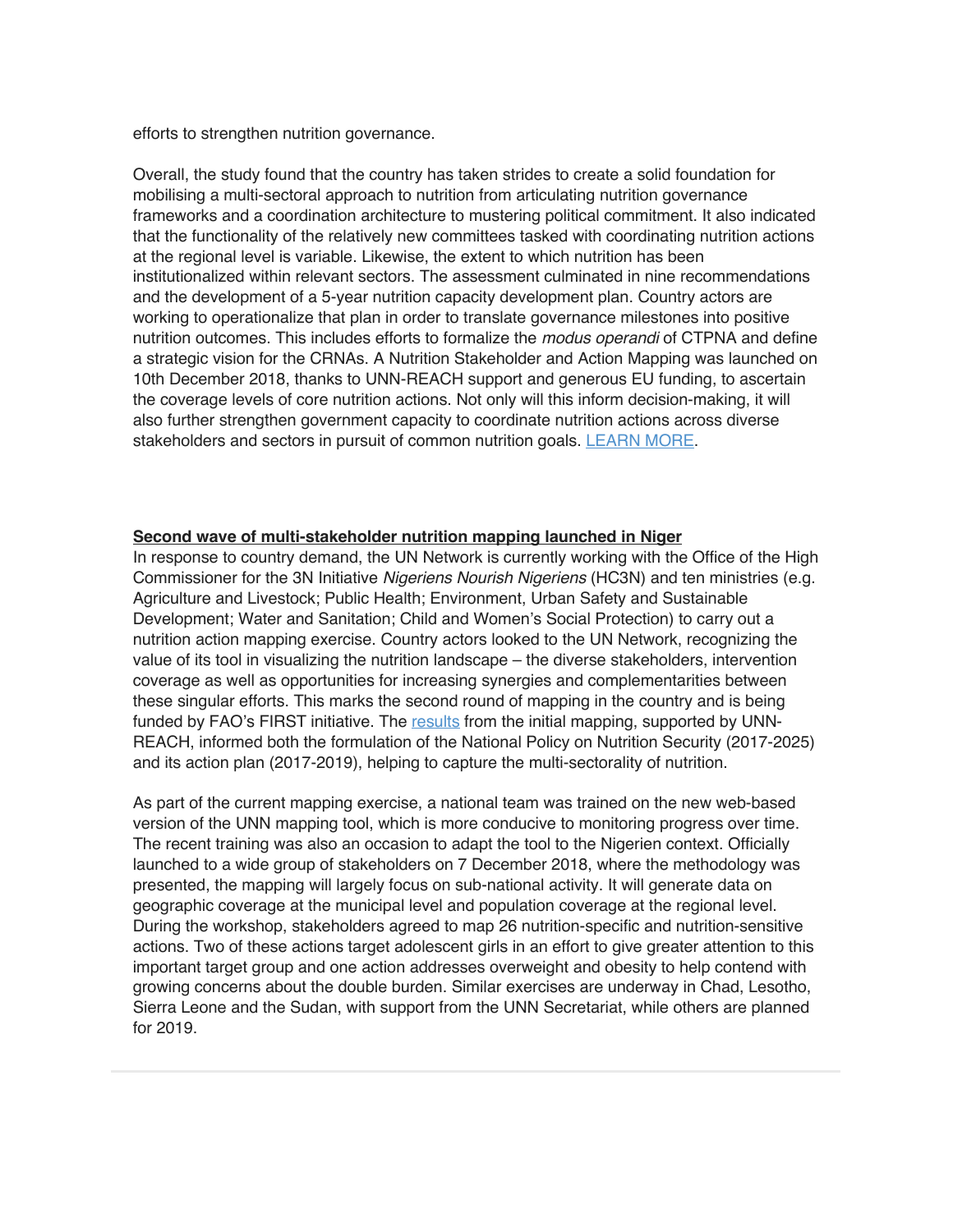efforts to strengthen nutrition governance.

Overall, the study found that the country has taken strides to create a solid foundation for mobilising a multi-sectoral approach to nutrition from articulating nutrition governance frameworks and a coordination architecture to mustering political commitment. It also indicated that the functionality of the relatively new committees tasked with coordinating nutrition actions at the regional level is variable. Likewise, the extent to which nutrition has been institutionalized within relevant sectors. The assessment culminated in nine recommendations and the development of a 5-year nutrition capacity development plan. Country actors are working to operationalize that plan in order to translate governance milestones into positive nutrition outcomes. This includes efforts to formalize the *modus operandi* of CTPNA and define a strategic vision for the CRNAs. A Nutrition Stakeholder and Action Mapping was launched on 10th December 2018, thanks to UNN-REACH support and generous EU funding, to ascertain the coverage levels of core nutrition actions. Not only will this inform decision-making, it will also further strengthen government capacity to coordinate nutrition actions across diverse stakeholders and sectors in pursuit of common nutrition goals. LEARN MORE.

#### **Second wave of multi-stakeholder nutrition mapping launched in Niger**

In response to country demand, the UN Network is currently working with the Office of the High Commissioner for the 3N Initiative *Nigeriens Nourish Nigeriens* (HC3N) and ten ministries (e.g. Agriculture and Livestock; Public Health; Environment, Urban Safety and Sustainable Development; Water and Sanitation; Child and Women's Social Protection) to carry out a nutrition action mapping exercise. Country actors looked to the UN Network, recognizing the value of its tool in visualizing the nutrition landscape – the diverse stakeholders, intervention coverage as well as opportunities for increasing synergies and complementarities between these singular efforts. This marks the second round of mapping in the country and is being funded by FAO's FIRST initiative. The results from the initial mapping, supported by UNN-REACH, informed both the formulation of the National Policy on Nutrition Security (2017-2025) and its action plan (2017-2019), helping to capture the multi-sectorality of nutrition.

As part of the current mapping exercise, a national team was trained on the new web-based version of the UNN mapping tool, which is more conducive to monitoring progress over time. The recent training was also an occasion to adapt the tool to the Nigerien context. Officially launched to a wide group of stakeholders on 7 December 2018, where the methodology was presented, the mapping will largely focus on sub-national activity. It will generate data on geographic coverage at the municipal level and population coverage at the regional level. During the workshop, stakeholders agreed to map 26 nutrition-specific and nutrition-sensitive actions. Two of these actions target adolescent girls in an effort to give greater attention to this important target group and one action addresses overweight and obesity to help contend with growing concerns about the double burden. Similar exercises are underway in Chad, Lesotho, Sierra Leone and the Sudan, with support from the UNN Secretariat, while others are planned for 2019.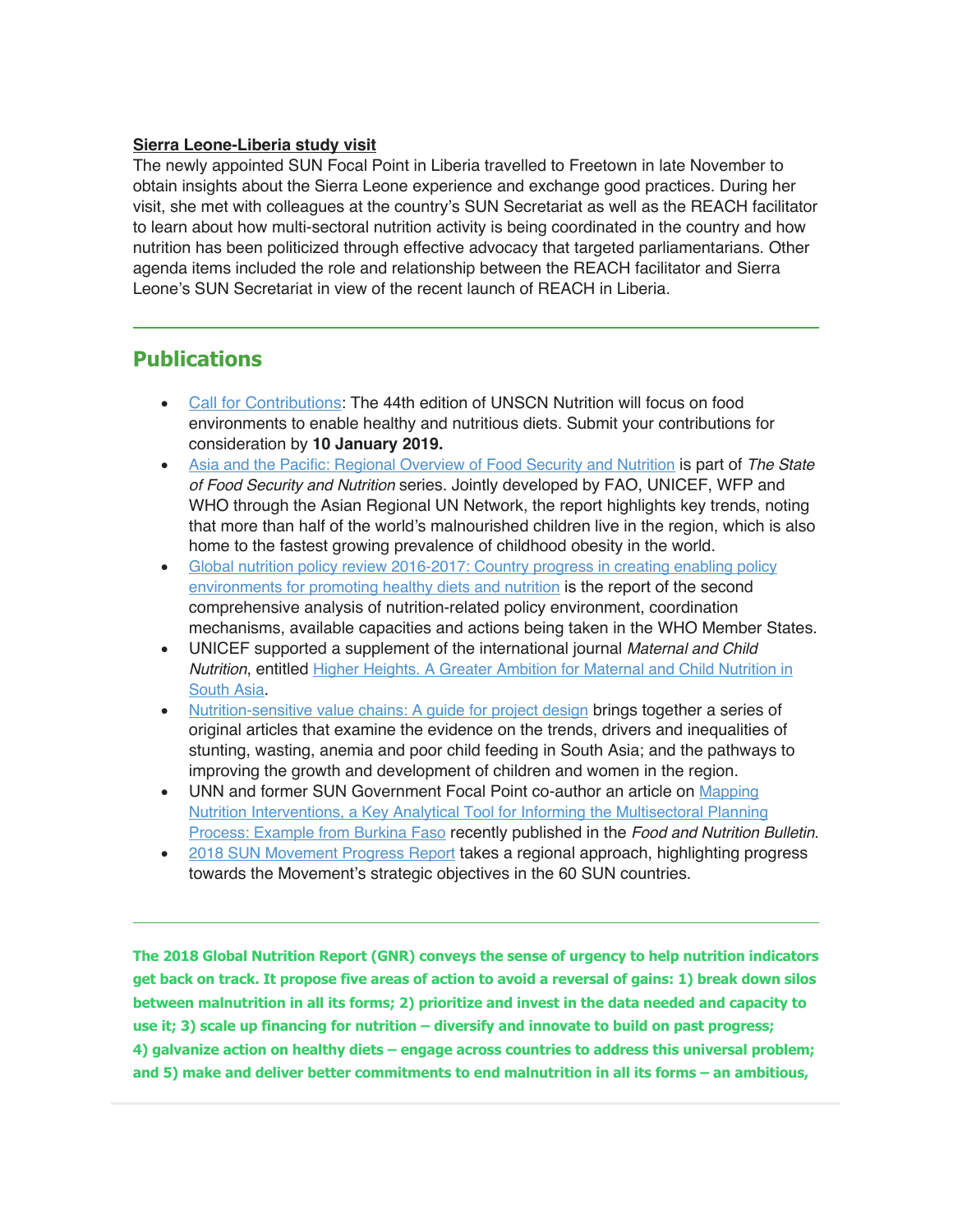#### **Sierra Leone-Liberia study visit**

The newly appointed SUN Focal Point in Liberia travelled to Freetown in late November to obtain insights about the Sierra Leone experience and exchange good practices. During her visit, she met with colleagues at the country's SUN Secretariat as well as the REACH facilitator to learn about how multi-sectoral nutrition activity is being coordinated in the country and how nutrition has been politicized through effective advocacy that targeted parliamentarians. Other agenda items included the role and relationship between the REACH facilitator and Sierra Leone's SUN Secretariat in view of the recent launch of REACH in Liberia.

## **Publications**

- Call for Contributions: The 44th edition of UNSCN Nutrition will focus on food environments to enable healthy and nutritious diets. Submit your contributions for consideration by **10 January 2019.**
- Asia and the Pacific: Regional Overview of Food Security and Nutrition is part of *The State of Food Security and Nutrition* series. Jointly developed by FAO, UNICEF, WFP and WHO through the Asian Regional UN Network, the report highlights key trends, noting that more than half of the world's malnourished children live in the region, which is also home to the fastest growing prevalence of childhood obesity in the world.
- Global nutrition policy review 2016-2017: Country progress in creating enabling policy environments for promoting healthy diets and nutrition is the report of the second comprehensive analysis of nutrition-related policy environment, coordination mechanisms, available capacities and actions being taken in the WHO Member States.
- UNICEF supported a supplement of the international journal *Maternal and Child Nutrition*, entitled Higher Heights. A Greater Ambition for Maternal and Child Nutrition in South Asia.
- Nutrition-sensitive value chains: A guide for project design brings together a series of original articles that examine the evidence on the trends, drivers and inequalities of stunting, wasting, anemia and poor child feeding in South Asia; and the pathways to improving the growth and development of children and women in the region.
- UNN and former SUN Government Focal Point co-author an article on Mapping Nutrition Interventions, a Key Analytical Tool for Informing the Multisectoral Planning Process: Example from Burkina Faso recently published in the *Food and Nutrition Bulletin.*
- 2018 SUN Movement Progress Report takes a regional approach, highlighting progress towards the Movement's strategic objectives in the 60 SUN countries.

**The 2018 Global Nutrition Report (GNR) conveys the sense of urgency to help nutrition indicators get back on track. It propose five areas of action to avoid a reversal of gains: 1) break down silos between malnutrition in all its forms; 2) prioritize and invest in the data needed and capacity to use it; 3) scale up financing for nutrition – diversify and innovate to build on past progress; 4) galvanize action on healthy diets – engage across countries to address this universal problem; and 5) make and deliver better commitments to end malnutrition in all its forms – an ambitious,**